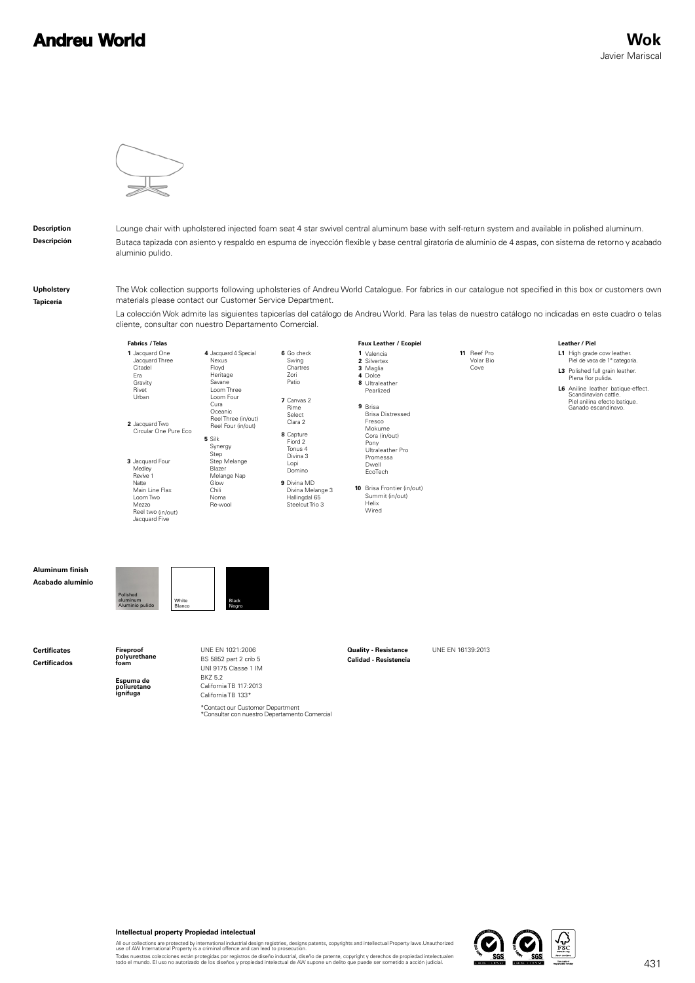## **Andreu World**



**Description Descripción** Lounge chair with upholstered injected foam seat 4 star swivel central aluminum base with self-return system and available in polished aluminum. Butaca tapizada con asiento y respaldo en espuma de inyección flexible y base central giratoria de aluminio de 4 aspas, con sistema de retorno y acabado aluminio pulido.

**Upholstery Tapicería**

**Certificates Certificados**

**Aluminum finish Acabado aluminio** The Wok collection supports following upholsteries of Andreu World Catalogue. For fabrics in our catalogue not specified in this box or customers own materials please contact our Customer Service Department.

La colección Wok admite las siguientes tapicerías del catálogo de Andreu World. Para las telas de nuestro catálogo no indicadas en este cuadro o telas cliente, consultar con nuestro Departamento Comercial.



**Espuma de poliuretano ignífuga**

California TB 117:2013 California TB 133\*

\*Contact our Customer Department<br>\*Consultar con nuestro Departamento Comercial



All our collections are protected by international industrial design registries, designs patents, copyrights and intellectual Property laws.Unauthorized<br>use of AW International Property is a criminal offence and can lead t

Todas nuestras colecciones están protegidas por registros de diseño industrial, diseño de patente, copyright y derechos de propiedad intelectualen<br>todo el mundo. El uso no autorizado de los diseños y propiedad intelectual